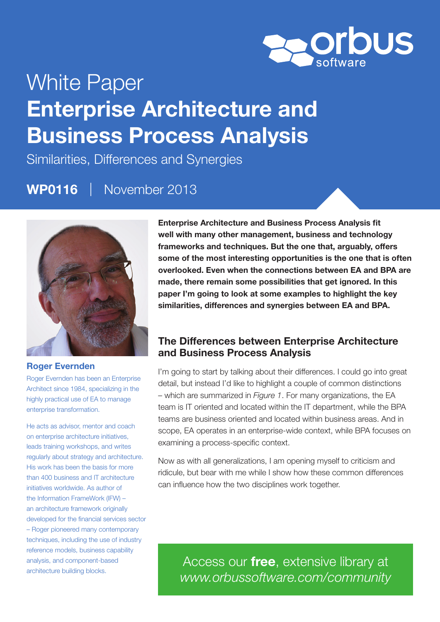

# White Paper Enterprise Architecture and Business Process Analysis

Similarities, Differences and Synergies

## WP0116 | November 2013



#### Roger Evernden

Roger Evernden has been an Enterprise Architect since 1984, specializing in the highly practical use of EA to manage enterprise transformation.

He acts as advisor, mentor and coach on enterprise architecture initiatives, leads training workshops, and writes regularly about strategy and architecture. His work has been the basis for more than 400 business and IT architecture initiatives worldwide. As author of the Information FrameWork (IFW) – an architecture framework originally developed for the financial services sector – Roger pioneered many contemporary techniques, including the use of industry reference models, business capability analysis, and component-based architecture building blocks.

Enterprise Architecture and Business Process Analysis fit well with many other management, business and technology frameworks and techniques. But the one that, arguably, offers some of the most interesting opportunities is the one that is often overlooked. Even when the connections between EA and BPA are made, there remain some possibilities that get ignored. In this paper I'm going to look at some examples to highlight the key similarities, differences and synergies between EA and BPA.

## The Differences between Enterprise Architecture and Business Process Analysis

I'm going to start by talking about their differences. I could go into great detail, but instead I'd like to highlight a couple of common distinctions – which are summarized in *Figure 1*. For many organizations, the EA team is IT oriented and located within the IT department, while the BPA teams are business oriented and located within business areas. And in scope, EA operates in an enterprise-wide context, while BPA focuses on examining a process-specific context.

Now as with all generalizations, I am opening myself to criticism and ridicule, but bear with me while I show how these common differences can influence how the two disciplines work together.

Access our *free*, extensive library at *www.orbussoftware.com/community*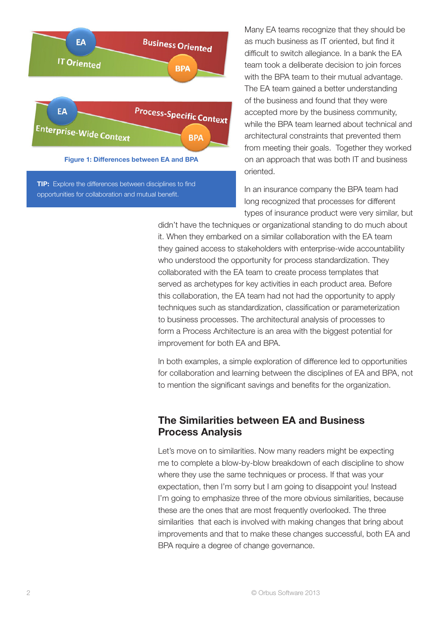

Many EA teams recognize that they should be as much business as IT oriented, but find it difficult to switch allegiance. In a bank the EA team took a deliberate decision to join forces with the BPA team to their mutual advantage. The EA team gained a better understanding of the business and found that they were accepted more by the business community, while the BPA team learned about technical and architectural constraints that prevented them from meeting their goals. Together they worked on an approach that was both IT and business oriented.

In an insurance company the BPA team had long recognized that processes for different types of insurance product were very similar, but

didn't have the techniques or organizational standing to do much about it. When they embarked on a similar collaboration with the EA team they gained access to stakeholders with enterprise-wide accountability who understood the opportunity for process standardization. They collaborated with the EA team to create process templates that served as archetypes for key activities in each product area. Before this collaboration, the EA team had not had the opportunity to apply techniques such as standardization, classification or parameterization to business processes. The architectural analysis of processes to form a Process Architecture is an area with the biggest potential for improvement for both EA and BPA.

In both examples, a simple exploration of difference led to opportunities for collaboration and learning between the disciplines of EA and BPA, not to mention the significant savings and benefits for the organization.

## The Similarities between EA and Business Process Analysis

Let's move on to similarities. Now many readers might be expecting me to complete a blow-by-blow breakdown of each discipline to show where they use the same techniques or process. If that was your expectation, then I'm sorry but I am going to disappoint you! Instead I'm going to emphasize three of the more obvious similarities, because these are the ones that are most frequently overlooked. The three similarities that each is involved with making changes that bring about improvements and that to make these changes successful, both EA and BPA require a degree of change governance.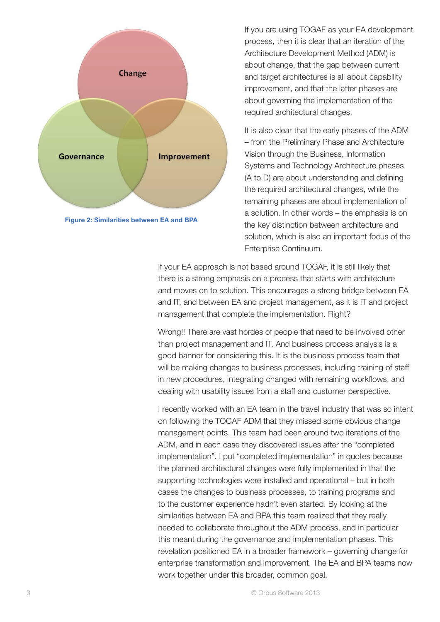



If you are using TOGAF as your EA development process, then it is clear that an iteration of the Architecture Development Method (ADM) is about change, that the gap between current and target architectures is all about capability improvement, and that the latter phases are about governing the implementation of the required architectural changes.

It is also clear that the early phases of the ADM – from the Preliminary Phase and Architecture Vision through the Business, Information Systems and Technology Architecture phases (A to D) are about understanding and defining the required architectural changes, while the remaining phases are about implementation of a solution. In other words – the emphasis is on the key distinction between architecture and solution, which is also an important focus of the Enterprise Continuum.

If your EA approach is not based around TOGAF, it is still likely that there is a strong emphasis on a process that starts with architecture and moves on to solution. This encourages a strong bridge between EA and IT, and between EA and project management, as it is IT and project management that complete the implementation. Right?

Wrong!! There are vast hordes of people that need to be involved other than project management and IT. And business process analysis is a good banner for considering this. It is the business process team that will be making changes to business processes, including training of staff in new procedures, integrating changed with remaining workflows, and dealing with usability issues from a staff and customer perspective.

I recently worked with an EA team in the travel industry that was so intent on following the TOGAF ADM that they missed some obvious change management points. This team had been around two iterations of the ADM, and in each case they discovered issues after the "completed implementation". I put "completed implementation" in quotes because the planned architectural changes were fully implemented in that the supporting technologies were installed and operational – but in both cases the changes to business processes, to training programs and to the customer experience hadn't even started. By looking at the similarities between EA and BPA this team realized that they really needed to collaborate throughout the ADM process, and in particular this meant during the governance and implementation phases. This revelation positioned EA in a broader framework – governing change for enterprise transformation and improvement. The EA and BPA teams now work together under this broader, common goal.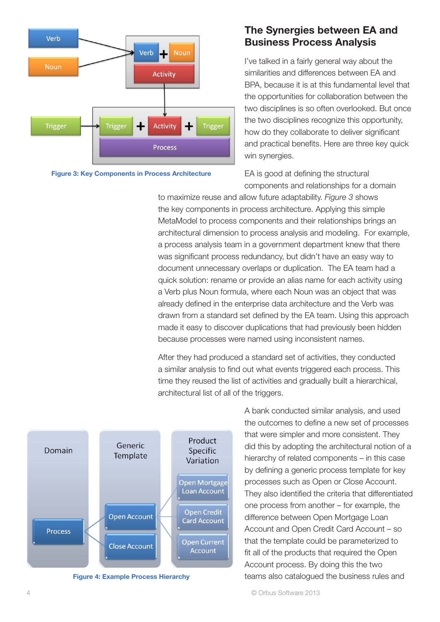

Figure 3: Key Components in Process Architecture

## The Synergies between EA and Business Process Analysis

I've talked in a fairly general way about the similarities and differences between EA and BPA, because it is at this fundamental level that the opportunities for collaboration between the two disciplines is so often overlooked. But once the two disciplines recognize this opportunity, how do they collaborate to deliver significant and practical benefits. Here are three key quick win synergies.

EA is good at defining the structural components and relationships for a domain

to maximize reuse and allow future adaptability. *Figure 3* shows the key components in process architecture. Applying this simple MetaModel to process components and their relationships brings an architectural dimension to process analysis and modeling. For example, a process analysis team in a government department knew that there was significant process redundancy, but didn't have an easy way to document unnecessary overlaps or duplication. The EA team had a quick solution: rename or provide an alias name for each activity using a Verb plus Noun formula, where each Noun was an object that was already defined in the enterprise data architecture and the Verb was drawn from a standard set defined by the EA team. Using this approach made it easy to discover duplications that had previously been hidden because processes were named using inconsistent names.

After they had produced a standard set of activities, they conducted a similar analysis to find out what events triggered each process. This time they reused the list of activities and gradually built a hierarchical, architectural list of all of the triggers.



Figure 4: Example Process Hierarchy

A bank conducted similar analysis, and used the outcomes to define a new set of processes that were simpler and more consistent. They did this by adopting the architectural notion of a hierarchy of related components – in this case by defining a generic process template for key processes such as Open or Close Account. They also identified the criteria that differentiated one process from another – for example, the difference between Open Mortgage Loan Account and Open Credit Card Account – so that the template could be parameterized to fit all of the products that required the Open Account process. By doing this the two teams also catalogued the business rules and